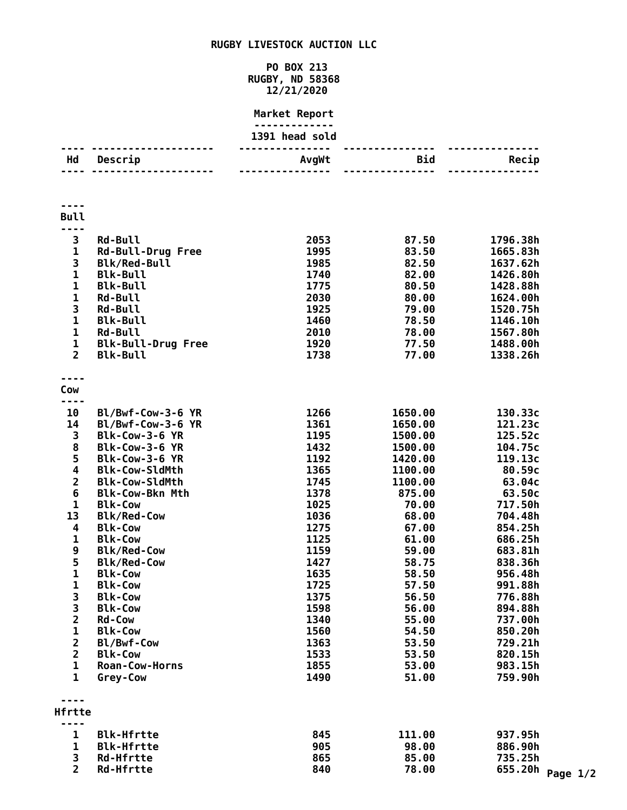## **RUGBY LIVESTOCK AUCTION LLC**

## **PO BOX 213 RUGBY, ND 58368 12/21/2020**

## **Market Report**

|                         |                                   | 1391 head sold |                 |                      |                  |
|-------------------------|-----------------------------------|----------------|-----------------|----------------------|------------------|
|                         | ------------                      |                | --------------- |                      |                  |
| Hd                      | Descrip                           | AvgWt          | Bid             | Recip                |                  |
|                         |                                   |                |                 |                      |                  |
|                         |                                   |                |                 |                      |                  |
|                         |                                   |                |                 |                      |                  |
|                         |                                   |                |                 |                      |                  |
| <b>Bull</b>             |                                   |                |                 |                      |                  |
| ----                    |                                   |                |                 |                      |                  |
| 3                       | <b>Rd-Bull</b>                    | 2053           | 87.50           | 1796.38h             |                  |
| $\mathbf 1$             | <b>Rd-Bull-Drug Free</b>          | 1995           | 83.50           | 1665.83h             |                  |
| 3<br>$\mathbf{1}$       | <b>Blk/Red-Bull</b>               | 1985           | 82.50           | 1637.62h             |                  |
|                         | <b>Blk-Bull</b>                   | 1740           | 82.00           | 1426.80h             |                  |
| $\mathbf 1$             | <b>Blk-Bull</b>                   | 1775<br>2030   | 80.50           | 1428.88h             |                  |
| 1<br>3                  | <b>Rd-Bull</b>                    | 1925           | 80.00<br>79.00  | 1624.00h             |                  |
| $\mathbf{1}$            | <b>Rd-Bull</b><br><b>Blk-Bull</b> | 1460           | 78.50           | 1520.75h<br>1146.10h |                  |
| $\mathbf 1$             | <b>Rd-Bull</b>                    | 2010           | 78.00           | 1567.80h             |                  |
| $\mathbf 1$             | <b>Blk-Bull-Drug Free</b>         | 1920           | 77.50           | 1488.00h             |                  |
| $\overline{2}$          | <b>Blk-Bull</b>                   | 1738           | 77.00           | 1338.26h             |                  |
|                         |                                   |                |                 |                      |                  |
| $- - -$                 |                                   |                |                 |                      |                  |
| Cow                     |                                   |                |                 |                      |                  |
| ----                    |                                   |                |                 |                      |                  |
| 10                      | Bl/Bwf-Cow-3-6 YR                 | 1266           | 1650.00         | 130.33c              |                  |
| 14                      | Bl/Bwf-Cow-3-6 YR                 | 1361           | 1650.00         | 121.23c              |                  |
| 3                       | Blk-Cow-3-6 YR                    | 1195           | 1500.00         | 125.52c              |                  |
| 8                       | Blk-Cow-3-6 YR                    | 1432           | 1500.00         | 104.75c              |                  |
| 5                       | Blk-Cow-3-6 YR                    | 1192           | 1420.00         | 119.13c              |                  |
| $\overline{\mathbf{4}}$ | <b>Blk-Cow-SldMth</b>             | 1365           | 1100.00         | 80.59c               |                  |
| $\mathbf{2}$            | <b>Blk-Cow-SldMth</b>             | 1745           | 1100.00         | 63.04c               |                  |
| $\boldsymbol{6}$        | <b>Blk-Cow-Bkn Mth</b>            | 1378           | 875.00          | 63.50c               |                  |
| $\mathbf{1}$            | <b>Blk-Cow</b>                    | 1025           | 70.00           | 717.50h              |                  |
| 13                      | <b>Blk/Red-Cow</b>                | 1036           | 68.00           | 704.48h              |                  |
| 4                       | <b>Blk-Cow</b>                    | 1275           | 67.00           | 854.25h              |                  |
| $\mathbf{1}$            | <b>Blk-Cow</b>                    | 1125           | 61.00           | 686.25h              |                  |
| 9                       | <b>Blk/Red-Cow</b>                | 1159           | 59.00           | 683.81h              |                  |
| 5                       | <b>Blk/Red-Cow</b>                | 1427           | 58.75           | 838.36h              |                  |
| $\mathbf 1$             | <b>Blk-Cow</b>                    | 1635           | 58.50           | 956.48h              |                  |
| 1                       | <b>Blk-Cow</b>                    | 1725           | 57.50           | 991.88h              |                  |
| 3                       | <b>Blk-Cow</b>                    | 1375           | 56.50           | 776.88h              |                  |
| 3                       | <b>Blk-Cow</b>                    | 1598           | 56.00           | 894.88h              |                  |
| $\overline{\mathbf{2}}$ | <b>Rd-Cow</b>                     | 1340           | 55.00           | 737.00h              |                  |
| $\mathbf{1}$            | <b>Blk-Cow</b>                    | 1560           | 54.50           | 850.20h              |                  |
| $\overline{\mathbf{c}}$ | Bl/Bwf-Cow                        | 1363           | 53.50           | 729.21h              |                  |
| $\overline{\mathbf{c}}$ | <b>Blk-Cow</b>                    | 1533           | 53.50           | 820.15h              |                  |
| $\mathbf{1}$            | <b>Roan-Cow-Horns</b>             | 1855           | 53.00           | 983.15h              |                  |
| $\mathbf{1}$            | Grey-Cow                          | 1490           | 51.00           | 759.90h              |                  |
|                         |                                   |                |                 |                      |                  |
|                         |                                   |                |                 |                      |                  |
| Hfrtte                  |                                   |                |                 |                      |                  |
|                         |                                   |                |                 |                      |                  |
| 1                       | <b>Blk-Hfrtte</b>                 | 845            | 111.00          | 937.95h              |                  |
| $\mathbf{1}$            | <b>Blk-Hfrtte</b>                 | 905            | 98.00           | 886.90h              |                  |
| 3                       | <b>Rd-Hfrtte</b>                  | 865            | 85.00           | 735.25h              |                  |
| $\overline{2}$          | <b>Rd-Hfrtte</b>                  | 840            | 78.00           |                      | 655.20h Page 1/2 |
|                         |                                   |                |                 |                      |                  |